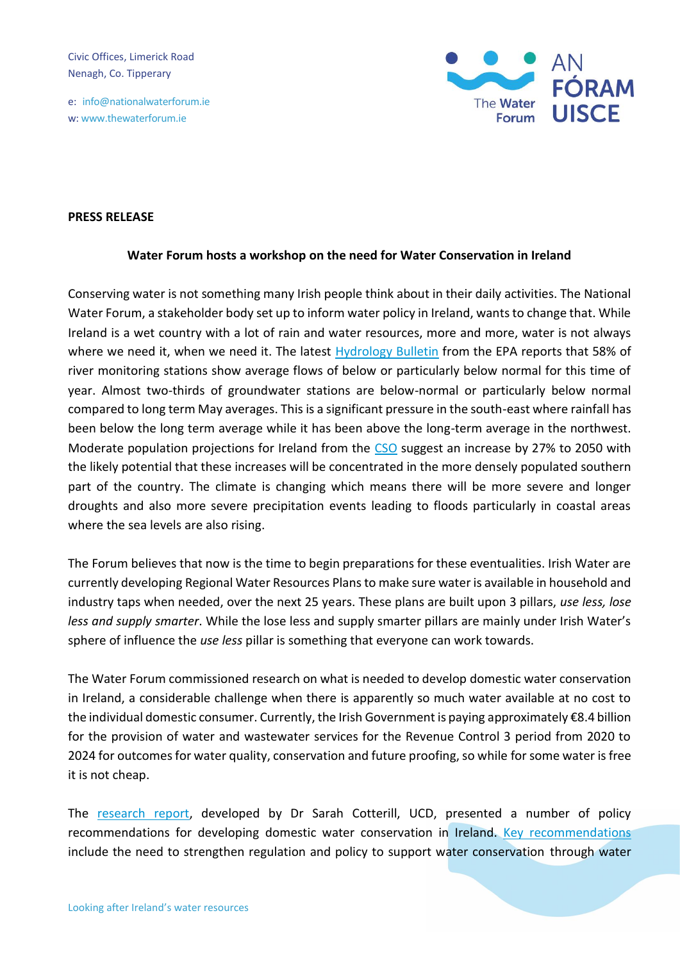Civic Offices, Limerick Road Nenagh, Co. Tipperary

e: info@nationalwaterforum.ie w: www.thewaterforum.ie



## **PRESS RELEASE**

## **Water Forum hosts a workshop on the need for Water Conservation in Ireland**

Conserving water is not something many Irish people think about in their daily activities. The National Water Forum, a stakeholder body set up to inform water policy in Ireland, wants to change that. While Ireland is a wet country with a lot of rain and water resources, more and more, water is not always where we need it, when we need it. The latest [Hydrology Bulletin](https://www.epa.ie/publications/monitoring--assessment/freshwater--marine/hydrology-bulletin/hydrology-bulletin/EPA-Hydrology-Bulletin-May-2022.pdf) from the EPA reports that 58% of river monitoring stations show average flows of below or particularly below normal for this time of year. Almost two-thirds of groundwater stations are below-normal or particularly below normal compared to long term May averages. This is a significant pressure in the south-east where rainfall has been below the long term average while it has been above the long-term average in the northwest. Moderate population projections for Ireland from the [CSO](https://www.cso.ie/en/releasesandpublications/ep/p-plfp/populationandlabourforceprojections2017-2051/populationprojectionsresults/) suggest an increase by 27% to 2050 with the likely potential that these increases will be concentrated in the more densely populated southern part of the country. The climate is changing which means there will be more severe and longer droughts and also more severe precipitation events leading to floods particularly in coastal areas where the sea levels are also rising.

The Forum believes that now is the time to begin preparations for these eventualities. Irish Water are currently developing Regional Water Resources Plans to make sure water is available in household and industry taps when needed, over the next 25 years. These plans are built upon 3 pillars, *use less, lose less and supply smarter*. While the lose less and supply smarter pillars are mainly under Irish Water's sphere of influence the *use less* pillar is something that everyone can work towards.

The Water Forum commissioned research on what is needed to develop domestic water conservation in Ireland, a considerable challenge when there is apparently so much water available at no cost to the individual domestic consumer. Currently, the Irish Government is paying approximately €8.4 billion for the provision of water and wastewater services for the Revenue Control 3 period from 2020 to 2024 for outcomes for water quality, conservation and future proofing, so while for some water is free it is not cheap.

The [research report,](https://thewaterforum.ie/app/uploads/2022/02/A-Framework-for-Improving-Domestic-Water-Conservation-Report.pdf) developed by Dr Sarah Cotterill, UCD, presented a number of policy recommendations for developing domestic water conservation in Ireland. [Key recommendations](https://thewaterforum.ie/app/uploads/2022/02/A-Framework-for-Improving-Domestic-Water-Conservation-Policy-Brief-1.pdf) include the need to strengthen regulation and policy to support water conservation through water